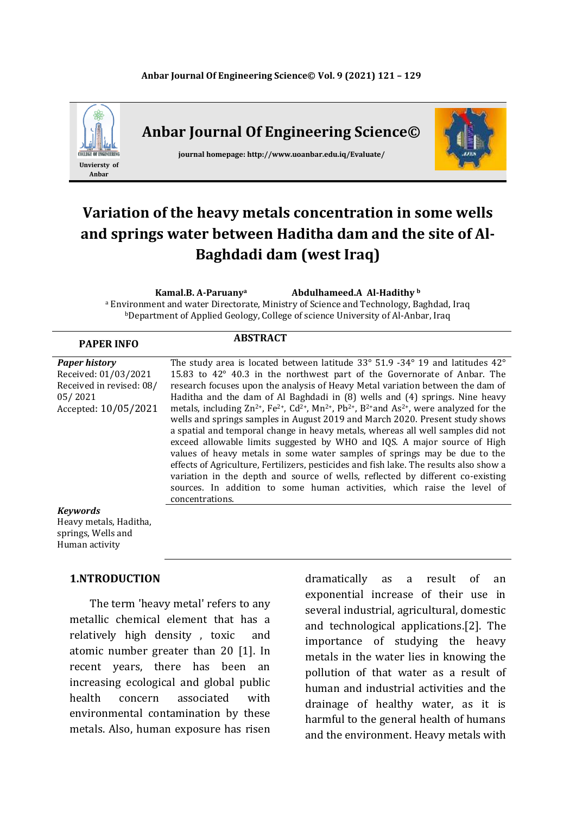

# **Variation of the heavy metals concentration in some wells and springs water between Haditha dam and the site of Al-Baghdadi dam (west Iraq)**

**Kamal.B. A-Paruanya Abdulhameed.A Al-Hadithy <sup>b</sup>**

<sup>a</sup> Environment and water Directorate, Ministry of Science and Technology, Baghdad, Iraq **bDepartment of Applied Geology, College of science University of Al-Anbar, Iraq** 

| <b>PAPER INFO</b>                                                                                           | <b>ABSTRACT</b>                                                                                                                                                                                                                                                                                                                                                                                                                                                                                                                                                                                                                                                                                                                                                                                                                                                                                                                                                                                                                                                                                                            |
|-------------------------------------------------------------------------------------------------------------|----------------------------------------------------------------------------------------------------------------------------------------------------------------------------------------------------------------------------------------------------------------------------------------------------------------------------------------------------------------------------------------------------------------------------------------------------------------------------------------------------------------------------------------------------------------------------------------------------------------------------------------------------------------------------------------------------------------------------------------------------------------------------------------------------------------------------------------------------------------------------------------------------------------------------------------------------------------------------------------------------------------------------------------------------------------------------------------------------------------------------|
| <b>Paper history</b><br>Received: 01/03/2021<br>Received in revised: 08/<br>05/2021<br>Accepted: 10/05/2021 | The study area is located between latitude $33^{\circ}$ 51.9 -34° 19 and latitudes 42°<br>15.83 to 42° 40.3 in the northwest part of the Governorate of Anbar. The<br>research focuses upon the analysis of Heavy Metal variation between the dam of<br>Haditha and the dam of Al Baghdadi in (8) wells and (4) springs. Nine heavy<br>metals, including $\text{Zn}^{2+}$ , $\text{Fe}^{2+}$ , $\text{Cd}^{2+}$ , $\text{Mn}^{2+}$ , $\text{Pb}^{2+}$ , $\text{B}^{2+}$ and As <sup>2+</sup> , were analyzed for the<br>wells and springs samples in August 2019 and March 2020. Present study shows<br>a spatial and temporal change in heavy metals, whereas all well samples did not<br>exceed allowable limits suggested by WHO and IQS. A major source of High<br>values of heavy metals in some water samples of springs may be due to the<br>effects of Agriculture, Fertilizers, pesticides and fish lake. The results also show a<br>variation in the depth and source of wells, reflected by different co-existing<br>sources. In addition to some human activities, which raise the level of<br>concentrations. |
| <b>Keywords</b><br>Heavy metals, Haditha,<br>springs, Wells and                                             |                                                                                                                                                                                                                                                                                                                                                                                                                                                                                                                                                                                                                                                                                                                                                                                                                                                                                                                                                                                                                                                                                                                            |

### **1.NTRODUCTION**

Human activity

 The term 'heavy metal' refers to any metallic chemical element that has a relatively high density , toxic and atomic number greater than 20 [1]. In recent years, there has been an increasing ecological and global public health concern associated with environmental contamination by these metals. Also, human exposure has risen

dramatically as a result of an exponential increase of their use in several industrial, agricultural, domestic and technological applications.[2]. The importance of studying the heavy metals in the water lies in knowing the pollution of that water as a result of human and industrial activities and the drainage of healthy water, as it is harmful to the general health of humans and the environment. Heavy metals with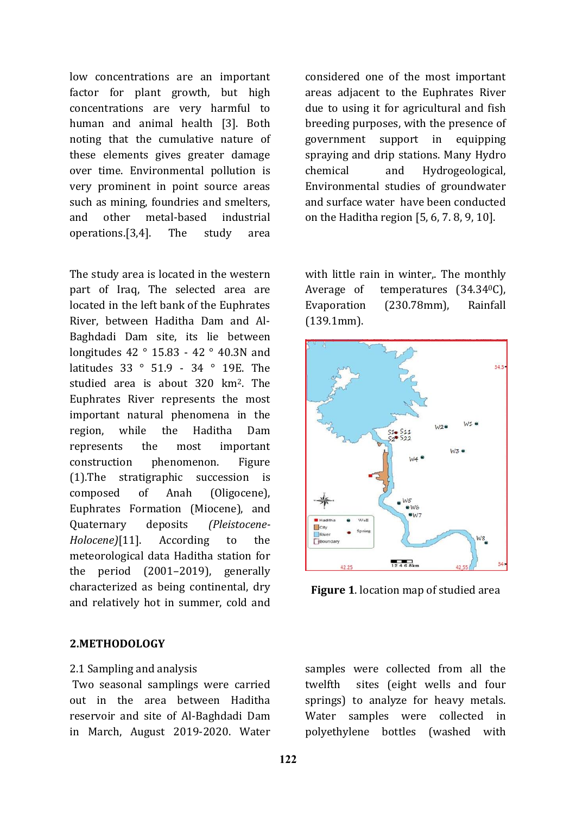low concentrations are an important factor for plant growth, but high concentrations are very harmful to human and animal health [3]. Both noting that the cumulative nature of these elements gives greater damage over time. Environmental pollution is very prominent in point source areas such as mining, foundries and smelters, and other metal-based industrial operations.[3,4]. The study area

The study area is located in the western part of Iraq, The selected area are located in the left bank of the Euphrates River, between Haditha Dam and Al-Baghdadi Dam site, its lie between longitudes 42 ° 15.83 - 42 ° 40.3N and latitudes 33 ° 51.9 - 34 ° 19E. The studied area is about 320 km2. The Euphrates River represents the most important natural phenomena in the region, while the Haditha Dam represents the most important construction phenomenon. Figure (1).The stratigraphic succession is composed of Anah (Oligocene), Euphrates Formation (Miocene), and Quaternary deposits *(Pleistocene-Holocene)*[11]. According to the meteorological data Haditha station for the period (2001–2019), generally characterized as being continental, dry and relatively hot in summer, cold and

### **2.METHODOLOGY**

#### 2.1 Sampling and analysis

Two seasonal samplings were carried out in the area between Haditha reservoir and site of Al-Baghdadi Dam in March, August 2019-2020. Water considered one of the most important areas adjacent to the Euphrates River due to using it for agricultural and fish breeding purposes, with the presence of government support in equipping spraying and drip stations. Many Hydro chemical and Hydrogeological, Environmental studies of groundwater and surface water have been conducted on the Haditha region [5, 6, 7. 8, 9, 10].

with little rain in winter.. The monthly Average of temperatures (34.34<sup>0</sup>C), Evaporation (230.78mm), Rainfall (139.1mm).



**Figure 1**. location map of studied area

samples were collected from all the twelfth sites (eight wells and four springs) to analyze for heavy metals. Water samples were collected in polyethylene bottles (washed with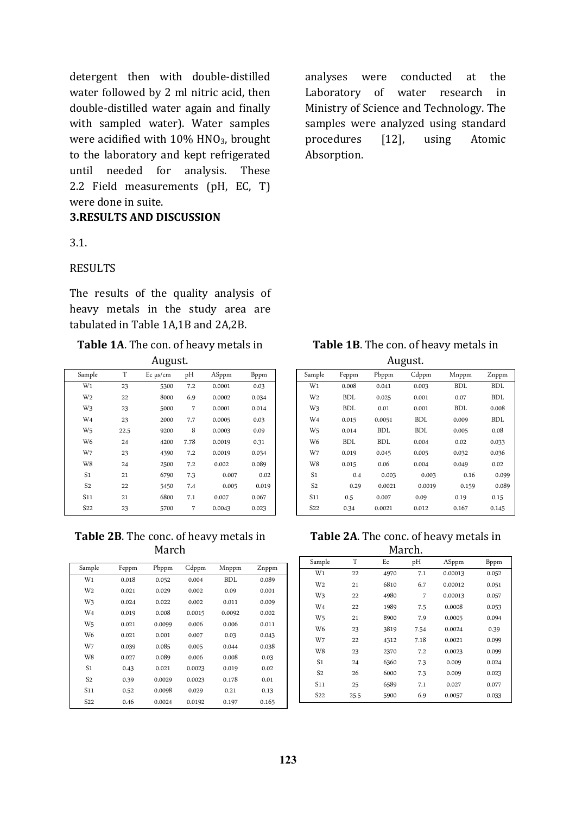detergent then with double-distilled water followed by 2 ml nitric acid, then double-distilled water again and finally with sampled water). Water samples were acidified with 10% HNO<sub>3</sub>, brought to the laboratory and kept refrigerated until needed for analysis. These 2.2 Field measurements (pH, EC, T) were done in suite.

# **3.RESULTS AND DISCUSSION**

3.1.

#### RESULTS

The results of the quality analysis of heavy metals in the study area are tabulated in Table 1A,1B and 2A,2B.

# **Table 1A**. The con. of heavy metals in

August.

| Sample          | T    | $Ec \mu s/cm$ | pH   | ASppm  | <b>B</b> ppm |
|-----------------|------|---------------|------|--------|--------------|
| $W_1$           | 23   | 5300          | 7.2  | 0.0001 | 0.03         |
| W <sub>2</sub>  | 22   | 8000          | 6.9  | 0.0002 | 0.034        |
| W <sub>3</sub>  | 23   | 5000          | 7    | 0.0001 | 0.014        |
| W <sub>4</sub>  | 23   | 2000          | 7.7  | 0.0005 | 0.03         |
| W <sub>5</sub>  | 22.5 | 9200          | 8    | 0.0003 | 0.09         |
| W <sub>6</sub>  | 24   | 4200          | 7.78 | 0.0019 | 0.31         |
| W7              | 23   | 4390          | 7.2  | 0.0019 | 0.034        |
| W8              | 24   | 2500          | 7.2  | 0.002  | 0.089        |
| S <sub>1</sub>  | 21   | 6790          | 7.3  | 0.007  | 0.02         |
| S <sub>2</sub>  | 22   | 5450          | 7.4  | 0.005  | 0.019        |
| S <sub>11</sub> | 21   | 6800          | 7.1  | 0.007  | 0.067        |
| S <sub>22</sub> | 23   | 5700          | 7    | 0.0043 | 0.023        |

**Table 2B**. The conc. of heavy metals in March

| Sample          | Feppm | Pbppm  | Gdppm  | Mnppm  | Znppm |
|-----------------|-------|--------|--------|--------|-------|
| $W_1$           | 0.018 | 0.052  | 0.004  | BDL    | 0.089 |
| W <sub>2</sub>  | 0.021 | 0.029  | 0.002  | 0.09   | 0.001 |
| Wз              | 0.024 | 0.022  | 0.002  | 0.011  | 0.009 |
| W <sub>4</sub>  | 0.019 | 0.008  | 0.0015 | 0.0092 | 0.002 |
| W <sub>5</sub>  | 0.021 | 0.0099 | 0.006  | 0.006  | 0.011 |
| W <sub>6</sub>  | 0.021 | 0.001  | 0.007  | 0.03   | 0.043 |
| W7              | 0.039 | 0.085  | 0.005  | 0.044  | 0.038 |
| W8              | 0.027 | 0.089  | 0.006  | 0.008  | 0.03  |
| S <sub>1</sub>  | 0.43  | 0.021  | 0.0023 | 0.019  | 0.02  |
| S <sub>2</sub>  | 0.39  | 0.0029 | 0.0023 | 0.178  | 0.01  |
| S <sub>11</sub> | 0.52  | 0.0098 | 0.029  | 0.21   | 0.13  |
| S22             | 0.46  | 0.0024 | 0.0192 | 0.197  | 0.165 |

analyses were conducted at the Laboratory of water research in Ministry of Science and Technology. The samples were analyzed using standard procedures [12], using Atomic Absorption.

**Table 1B**. The con. of heavy metals in August.

|                 |            |            | ັ          |            |            |
|-----------------|------------|------------|------------|------------|------------|
| Sample          | Feppm      | Pbppm      | Cdppm      | Mnppm      | Znppm      |
| $W_1$           | 0.008      | 0.041      | 0.003      | BDL        | <b>BDL</b> |
| W <sub>2</sub>  | <b>BDL</b> | 0.025      | 0.001      | 0.07       | <b>BDL</b> |
| Wз              | <b>BDL</b> | 0.01       | 0.001      | <b>BDL</b> | 0.008      |
| W <sub>4</sub>  | 0.015      | 0.0051     | BDL        | 0.009      | <b>BDL</b> |
| W <sub>5</sub>  | 0.014      | <b>BDL</b> | <b>BDL</b> | 0.005      | 0.08       |
| W <sub>6</sub>  | BDL        | <b>BDL</b> | 0.004      | 0.02       | 0.033      |
| W7              | 0.019      | 0.045      | 0.005      | 0.032      | 0.036      |
| W8              | 0.015      | 0.06       | 0.004      | 0.049      | 0.02       |
| S <sub>1</sub>  | 0.4        | 0.003      | 0.003      | 0.16       | 0.099      |
| S <sub>2</sub>  | 0.29       | 0.0021     | 0.0019     | 0.159      | 0.089      |
| S <sub>11</sub> | 0.5        | 0.007      | 0.09       | 0.19       | 0.15       |
| S <sub>22</sub> | 0.34       | 0.0021     | 0.012      | 0.167      | 0.145      |
|                 |            |            |            |            |            |

**Table 2A**. The conc. of heavy metals in

|                 | March. |      |      |         |              |  |
|-----------------|--------|------|------|---------|--------------|--|
| Sample          | T      | Ec   | pH   | ASppm   | <b>B</b> ppm |  |
| W <sub>1</sub>  | 22     | 4970 | 7.1  | 0.00013 | 0.052        |  |
| W <sub>2</sub>  | 21     | 6810 | 6.7  | 0.00012 | 0.051        |  |
| W <sub>3</sub>  | 22     | 4980 | 7    | 0.00013 | 0.057        |  |
| W <sub>4</sub>  | 22     | 1989 | 7.5  | 0.0008  | 0.053        |  |
| W <sub>5</sub>  | 21     | 8900 | 7.9  | 0.0005  | 0.094        |  |
| W <sub>6</sub>  | 23     | 3819 | 7.54 | 0.0024  | 0.39         |  |
| W7              | 22     | 4312 | 7.18 | 0.0021  | 0.099        |  |
| W8              | 23     | 2370 | 7.2  | 0.0023  | 0.099        |  |
| S <sub>1</sub>  | 24     | 6360 | 7.3  | 0.009   | 0.024        |  |
| S <sub>2</sub>  | 26     | 6000 | 7.3  | 0.009   | 0.023        |  |
| S11             | 25     | 6589 | 7.1  | 0.027   | 0.077        |  |
| S <sub>22</sub> | 25.5   | 5900 | 6.9  | 0.0057  | 0.033        |  |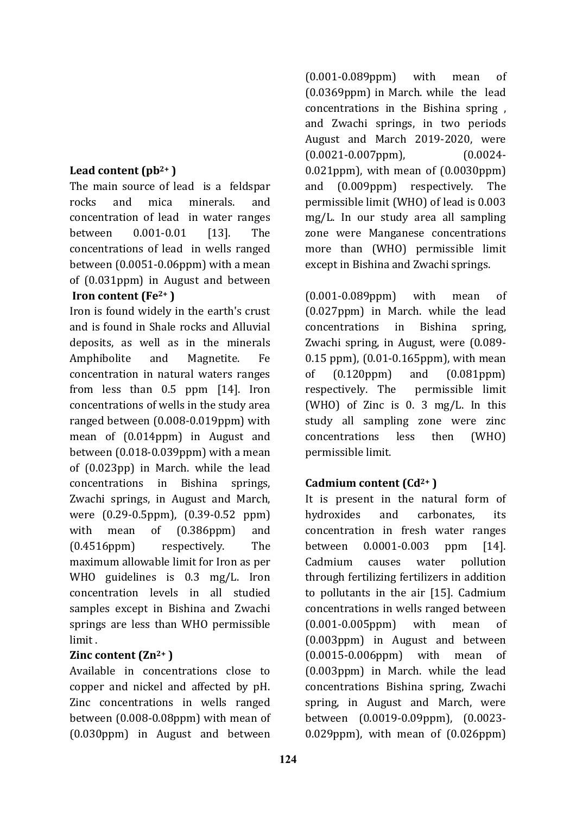# **Lead content (pb2+ )**

The main source of lead is a feldspar rocks and mica minerals. and concentration of lead in water ranges between 0.001-0.01 [13]. The concentrations of lead in wells ranged between (0.0051-0.06ppm) with a mean of (0.031ppm) in August and between **Iron content (Fe2+ )**

Iron is found widely in the earth's crust and is found in Shale rocks and Alluvial deposits, as well as in the minerals Amphibolite and Magnetite. Fe concentration in natural waters ranges from less than 0.5 ppm [14]. Iron concentrations of wells in the study area ranged between (0.008-0.019ppm) with mean of (0.014ppm) in August and between (0.018-0.039ppm) with a mean of (0.023pp) in March. while the lead concentrations in Bishina springs, Zwachi springs, in August and March, were (0.29-0.5ppm), (0.39-0.52 ppm) with mean of (0.386ppm) and (0.4516ppm) respectively. The maximum allowable limit for Iron as per WHO guidelines is 0.3 mg/L. Iron concentration levels in all studied samples except in Bishina and Zwachi springs are less than WHO permissible limit .

# **Zinc content (Zn2+ )**

Available in concentrations close to copper and nickel and affected by pH. Zinc concentrations in wells ranged between (0.008-0.08ppm) with mean of (0.030ppm) in August and between (0.001-0.089ppm) with mean of (0.0369ppm) in March. while the lead concentrations in the Bishina spring , and Zwachi springs, in two periods August and March 2019-2020, were (0.0021-0.007ppm), (0.0024- 0.021ppm), with mean of (0.0030ppm) and (0.009ppm) respectively. The permissible limit (WHO) of lead is 0.003 mg/L. In our study area all sampling zone were Manganese concentrations more than (WHO) permissible limit except in Bishina and Zwachi springs.

(0.001-0.089ppm) with mean of (0.027ppm) in March. while the lead concentrations in Bishina spring, Zwachi spring, in August, were (0.089- 0.15 ppm), (0.01-0.165ppm), with mean of (0.120ppm) and (0.081ppm) respectively. The permissible limit (WHO) of Zinc is 0. 3 mg/L. In this study all sampling zone were zinc concentrations less then (WHO) permissible limit.

# **Cadmium content (Cd2+ )**

It is present in the natural form of hydroxides and carbonates, its concentration in fresh water ranges between 0.0001-0.003 ppm [14]. Cadmium causes water pollution through fertilizing fertilizers in addition to pollutants in the air [15]. Cadmium concentrations in wells ranged between (0.001-0.005ppm) with mean of (0.003ppm) in August and between (0.0015-0.006ppm) with mean of (0.003ppm) in March. while the lead concentrations Bishina spring, Zwachi spring, in August and March, were between (0.0019-0.09ppm), (0.0023- 0.029ppm), with mean of (0.026ppm)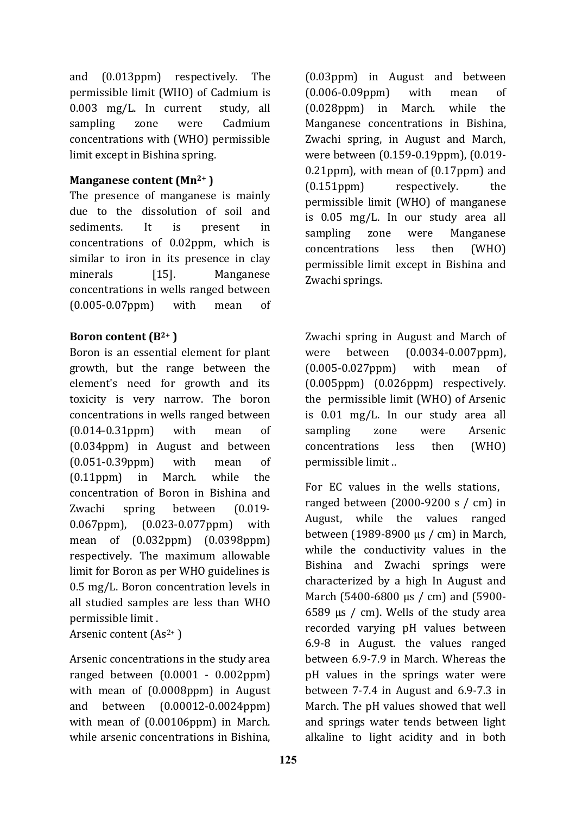and (0.013ppm) respectively. The permissible limit (WHO) of Cadmium is 0.003 mg/L. In current study, all sampling zone were Cadmium concentrations with (WHO) permissible limit except in Bishina spring.

# **Manganese content (Mn2+ )**

The presence of manganese is mainly due to the dissolution of soil and sediments. It is present in concentrations of 0.02ppm, which is similar to iron in its presence in clay minerals [15]. Manganese concentrations in wells ranged between (0.005-0.07ppm) with mean of

### **Boron content (B2+ )**

Boron is an essential element for plant growth, but the range between the element's need for growth and its toxicity is very narrow. The boron concentrations in wells ranged between (0.014-0.31ppm) with mean of (0.034ppm) in August and between (0.051-0.39ppm) with mean of (0.11ppm) in March. while the concentration of Boron in Bishina and Zwachi spring between (0.019- 0.067ppm), (0.023-0.077ppm) with mean of (0.032ppm) (0.0398ppm) respectively. The maximum allowable limit for Boron as per WHO guidelines is 0.5 mg/L. Boron concentration levels in all studied samples are less than WHO permissible limit .

### Arsenic content  $(As<sup>2+</sup>)$

Arsenic concentrations in the study area ranged between (0.0001 - 0.002ppm) with mean of (0.0008ppm) in August and between (0.00012-0.0024ppm) with mean of (0.00106ppm) in March. while arsenic concentrations in Bishina, (0.03ppm) in August and between (0.006-0.09ppm) with mean of (0.028ppm) in March. while the Manganese concentrations in Bishina, Zwachi spring, in August and March, were between (0.159-0.19ppm), (0.019- 0.21ppm), with mean of (0.17ppm) and (0.151ppm) respectively. the permissible limit (WHO) of manganese is 0.05 mg/L. In our study area all sampling zone were Manganese concentrations less then (WHO) permissible limit except in Bishina and Zwachi springs.

Zwachi spring in August and March of were between (0.0034-0.007ppm), (0.005-0.027ppm) with mean of (0.005ppm) (0.026ppm) respectively. the permissible limit (WHO) of Arsenic is 0.01 mg/L. In our study area all sampling zone were Arsenic concentrations less then (WHO) permissible limit ..

For EC values in the wells stations, ranged between (2000-9200 s / cm) in August, while the values ranged between (1989-8900 µs / cm) in March, while the conductivity values in the Bishina and Zwachi springs were characterized by a high In August and March (5400-6800 µs / cm) and (5900- 6589  $\mu s$  / cm). Wells of the study area recorded varying pH values between 6.9-8 in August. the values ranged between 6.9-7.9 in March. Whereas the pH values in the springs water were between 7-7.4 in August and 6.9-7.3 in March. The pH values showed that well and springs water tends between light alkaline to light acidity and in both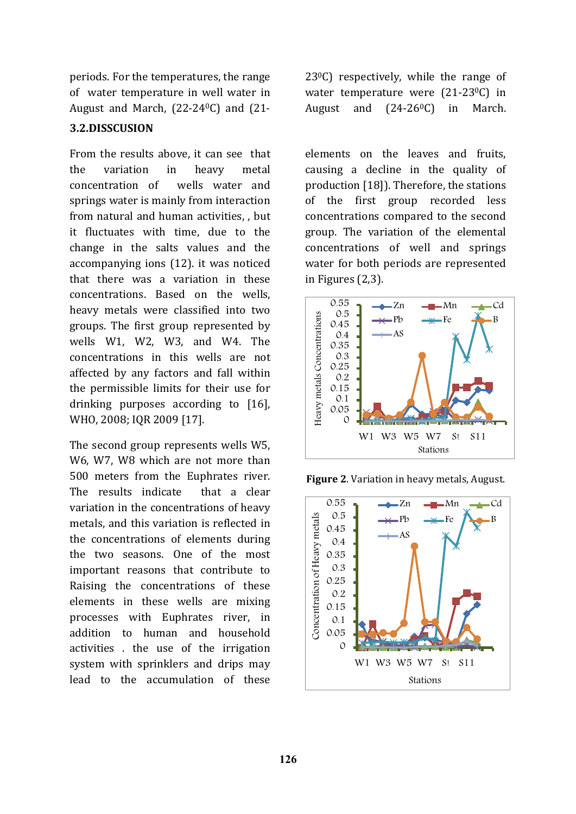periods. For the temperatures, the range of water temperature in well water in August and March, (22-240C) and (21-

# **3.2.DISSCUSION**

From the results above, it can see that the variation in heavy metal concentration of wells water and springs water is mainly from interaction from natural and human activities, , but it fluctuates with time, due to the change in the salts values and the accompanying ions (12). it was noticed that there was a variation in these concentrations. Based on the wells, heavy metals were classified into two groups. The first group represented by wells W1, W2, W3, and W4. The concentrations in this wells are not affected by any factors and fall within the permissible limits for their use for drinking purposes according to [16], WHO, 2008; IQR 2009 [17].

The second group represents wells W5, W6, W7, W8 which are not more than 500 meters from the Euphrates river. The results indicate that a clear variation in the concentrations of heavy metals, and this variation is reflected in the concentrations of elements during the two seasons. One of the most important reasons that contribute to Raising the concentrations of these elements in these wells are mixing processes with Euphrates river, in addition to human and household activities . the use of the irrigation system with sprinklers and drips may lead to the accumulation of these

 $23^{\circ}$ C) respectively, while the range of water temperature were (21-23<sup>0</sup>C) in August and  $(24-26<sup>0</sup>C)$  in March.

elements on the leaves and fruits, causing a decline in the quality of production [18]). Therefore, the stations of the first group recorded less concentrations compared to the second group. The variation of the elemental concentrations of well and springs water for both periods are represented in Figures (2,3).



**Figure 2**. Variation in heavy metals, August.

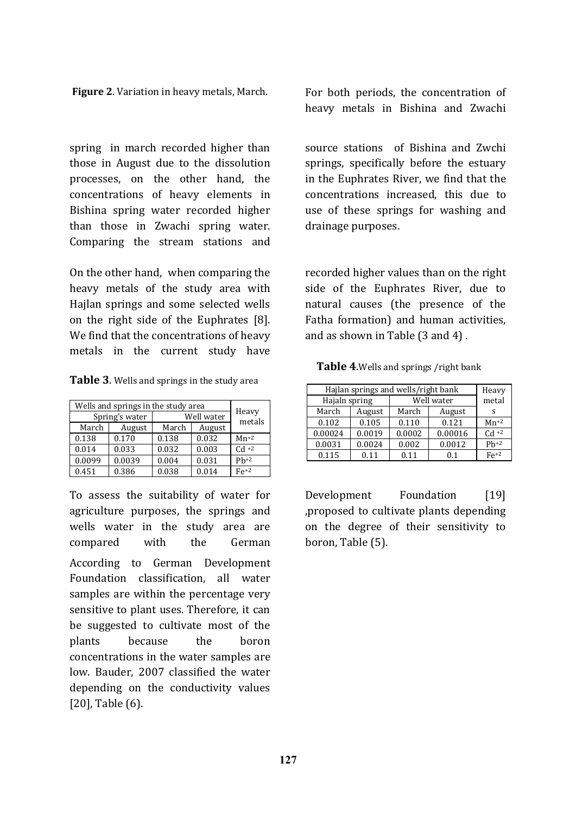spring in march recorded higher than those in August due to the dissolution processes, on the other hand, the concentrations of heavy elements in Bishina spring water recorded higher than those in Zwachi spring water. Comparing the stream stations and

On the other hand, when comparing the heavy metals of the study area with Hajlan springs and some selected wells on the right side of the Euphrates [8]. We find that the concentrations of heavy metals in the current study have

| Table 3. Wells and springs in the study area |  |  |
|----------------------------------------------|--|--|
|----------------------------------------------|--|--|

| Wells and springs in the study area |        |            |        |                 |
|-------------------------------------|--------|------------|--------|-----------------|
| Spring's water                      |        | Well water |        | Heavy<br>metals |
| March                               | August | March      | August |                 |
| 0.138                               | 0.170  | 0.138      | 0.032  | $Mn+2$          |
| 0.014                               | 0.033  | 0.032      | 0.003  | $Cd +2$         |
| 0.0099                              | 0.0039 | 0.004      | 0.031  | $Ph+2$          |
| 0.451                               | 0.386  | 0.038      | 0.014  | $Fe+2$          |

To assess the suitability of water for agriculture purposes, the springs and wells water in the study area are compared with the German According to German Development Foundation classification, all water samples are within the percentage very sensitive to plant uses. Therefore, it can be suggested to cultivate most of the plants because the boron concentrations in the water samples are low. Bauder, 2007 classified the water depending on the conductivity values [20], Table (6).

**Figure 2.** Variation in heavy metals, March. For both periods, the concentration of heavy metals in Bishina and Zwachi

> source stations of Bishina and Zwchi springs, specifically before the estuary in the Euphrates River, we find that the concentrations increased, this due to use of these springs for washing and drainage purposes.

> recorded higher values than on the right side of the Euphrates River, due to natural causes (the presence of the Fatha formation) and human activities, and as shown in Table (3 and 4) .

 **Table 4**.Wells and springs /right bank

| Hajlan springs and wells/right bank | Heavy  |            |         |         |
|-------------------------------------|--------|------------|---------|---------|
| Hajaln spring                       |        | Well water |         | metal   |
| March                               | August | March      | August  | s       |
| 0.102                               | 0.105  | 0.110      | 0.121   | $Mn+2$  |
| 0.00024                             | 0.0019 | 0.0002     | 0.00016 | $Cd +2$ |
| 0.0031                              | 0.0024 | 0.002      | 0.0012  | $Ph+2$  |
| 0.115                               | 0.11   | 0.11       | 0.1     | $Fe+2$  |

Development Foundation [19] ,proposed to cultivate plants depending on the degree of their sensitivity to boron, Table (5).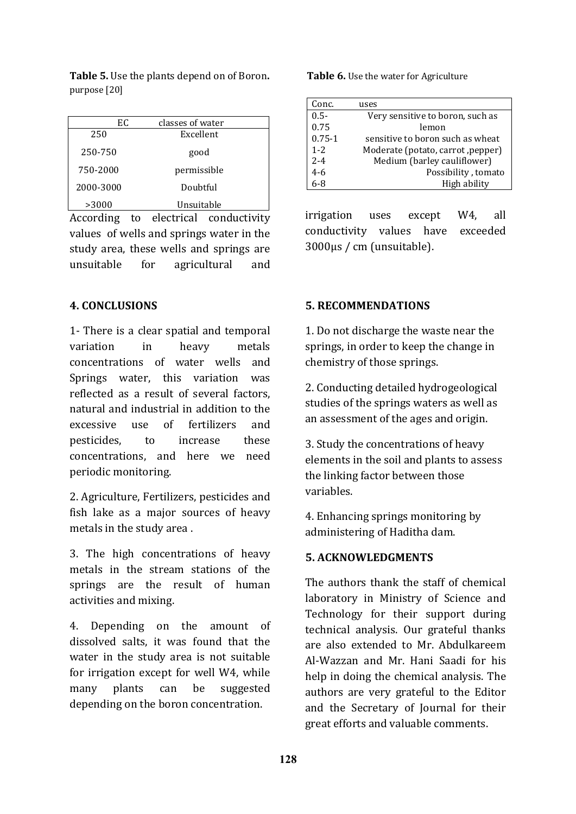Table 5. Use the plants depend on of Boron. Table 6. Use the water for Agriculture purpose [20]

| EС        | classes of water |  |
|-----------|------------------|--|
| 250       | Excellent        |  |
| 250-750   | good             |  |
| 750-2000  | permissible      |  |
| 2000-3000 | Doubtful         |  |
| >3000     | Unsuitable       |  |

According to electrical conductivity values of wells and springs water in the study area, these wells and springs are unsuitable for agricultural and

### **4. CONCLUSIONS**

1- There is a clear spatial and temporal variation in heavy metals concentrations of water wells and Springs water, this variation was reflected as a result of several factors, natural and industrial in addition to the excessive use of fertilizers and pesticides, to increase these concentrations, and here we need periodic monitoring.

2. Agriculture, Fertilizers, pesticides and fish lake as a major sources of heavy metals in the study area .

3. The high concentrations of heavy metals in the stream stations of the springs are the result of human activities and mixing.

4. Depending on the amount of dissolved salts, it was found that the water in the study area is not suitable for irrigation except for well W4, while many plants can be suggested depending on the boron concentration.

| Conc.      | uses                              |
|------------|-----------------------------------|
| $0.5 -$    | Very sensitive to boron, such as  |
| 0.75       | lemon                             |
| $0.75 - 1$ | sensitive to boron such as wheat  |
| $1 - 2$    | Moderate (potato, carrot, pepper) |
| $2 - 4$    | Medium (barley cauliflower)       |
| $4 - 6$    | Possibility, tomato               |
| ና-ጸ        | High ability                      |

irrigation uses except W4, all conductivity values have exceeded 3000µs / cm (unsuitable).

### **5. RECOMMENDATIONS**

1. Do not discharge the waste near the springs, in order to keep the change in chemistry of those springs.

2. Conducting detailed hydrogeological studies of the springs waters as well as an assessment of the ages and origin.

3. Study the concentrations of heavy elements in the soil and plants to assess the linking factor between those variables.

4. Enhancing springs monitoring by administering of Haditha dam.

### **5. ACKNOWLEDGMENTS**

The authors thank the staff of chemical laboratory in Ministry of Science and Technology for their support during technical analysis. Our grateful thanks are also extended to Mr. Abdulkareem Al-Wazzan and Mr. Hani Saadi for his help in doing the chemical analysis. The authors are very grateful to the Editor and the Secretary of Journal for their great efforts and valuable comments.